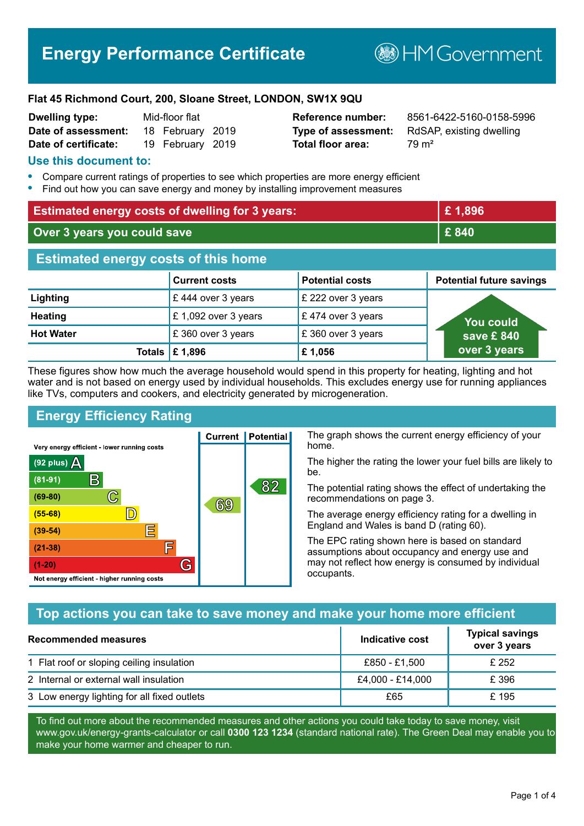# **Energy Performance Certificate**

**BHM Government** 

#### **Flat 45 Richmond Court, 200, Sloane Street, LONDON, SW1X 9QU**

| <b>Dwelling type:</b> | Mid-floor flat |                  |  |
|-----------------------|----------------|------------------|--|
| Date of assessment:   |                | 18 February 2019 |  |
| Date of certificate:  |                | 19 February 2019 |  |

# **Total floor area:** 79 m<sup>2</sup>

**Reference number:** 8561-6422-5160-0158-5996 **Type of assessment:** RdSAP, existing dwelling

#### **Use this document to:**

- **•** Compare current ratings of properties to see which properties are more energy efficient
- **•** Find out how you can save energy and money by installing improvement measures

| <b>Estimated energy costs of dwelling for 3 years:</b> |                           | £1,896                 |                                 |
|--------------------------------------------------------|---------------------------|------------------------|---------------------------------|
| Over 3 years you could save                            |                           | £840                   |                                 |
| <b>Estimated energy costs of this home</b>             |                           |                        |                                 |
|                                                        | <b>Current costs</b>      | <b>Potential costs</b> | <b>Potential future savings</b> |
| Lighting                                               | £444 over 3 years         | £ 222 over 3 years     |                                 |
| <b>Heating</b>                                         | £ 1,092 over 3 years      | £474 over 3 years      | <b>You could</b>                |
| <b>Hot Water</b>                                       | £360 over 3 years         | £360 over 3 years      | save £840                       |
|                                                        | Totals $\mathsf{E}$ 1,896 | £1,056                 | over 3 years                    |

These figures show how much the average household would spend in this property for heating, lighting and hot water and is not based on energy used by individual households. This excludes energy use for running appliances like TVs, computers and cookers, and electricity generated by microgeneration.

# **Energy Efficiency Rating**

The graph shows the current energy efficiency of your home.

The higher the rating the lower your fuel bills are likely to be.

The potential rating shows the effect of undertaking the recommendations on page 3.

The average energy efficiency rating for a dwelling in England and Wales is band D (rating 60).

The EPC rating shown here is based on standard assumptions about occupancy and energy use and may not reflect how energy is consumed by individual occupants.

# **Top actions you can take to save money and make your home more efficient**

| Recommended measures                        | Indicative cost  | <b>Typical savings</b><br>over 3 years |
|---------------------------------------------|------------------|----------------------------------------|
| 1 Flat roof or sloping ceiling insulation   | £850 - £1,500    | £ 252                                  |
| 2 Internal or external wall insulation      | £4,000 - £14,000 | £ 396                                  |
| 3 Low energy lighting for all fixed outlets | £65              | £195                                   |

To find out more about the recommended measures and other actions you could take today to save money, visit www.gov.uk/energy-grants-calculator or call **0300 123 1234** (standard national rate). The Green Deal may enable you to make your home warmer and cheaper to run.

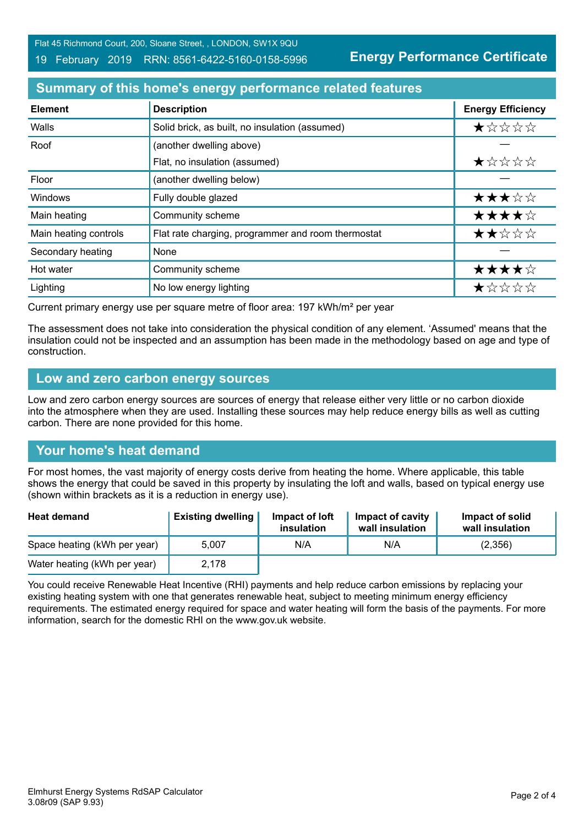Flat 45 Richmond Court, 200, Sloane Street, , LONDON, SW1X 9QU

#### 19 February 2019 RRN: 8561-6422-5160-0158-5996

**Energy Performance Certificate**

# **Summary of this home's energy performance related features**

| <b>Element</b>        | <b>Description</b>                                 | <b>Energy Efficiency</b> |
|-----------------------|----------------------------------------------------|--------------------------|
| Walls                 | Solid brick, as built, no insulation (assumed)     | *****                    |
| Roof                  | (another dwelling above)                           |                          |
|                       | Flat, no insulation (assumed)                      | ★☆☆☆☆                    |
| Floor                 | (another dwelling below)                           |                          |
| Windows               | Fully double glazed                                | ★★★☆☆                    |
| Main heating          | Community scheme                                   | ★★★★☆                    |
| Main heating controls | Flat rate charging, programmer and room thermostat | ★★☆☆☆                    |
| Secondary heating     | None                                               |                          |
| Hot water             | Community scheme                                   | ★★★★☆                    |
| Lighting              | No low energy lighting                             | ★☆☆☆☆                    |

Current primary energy use per square metre of floor area: 197 kWh/m² per year

The assessment does not take into consideration the physical condition of any element. 'Assumed' means that the insulation could not be inspected and an assumption has been made in the methodology based on age and type of construction.

#### **Low and zero carbon energy sources**

Low and zero carbon energy sources are sources of energy that release either very little or no carbon dioxide into the atmosphere when they are used. Installing these sources may help reduce energy bills as well as cutting carbon. There are none provided for this home.

# **Your home's heat demand**

For most homes, the vast majority of energy costs derive from heating the home. Where applicable, this table shows the energy that could be saved in this property by insulating the loft and walls, based on typical energy use (shown within brackets as it is a reduction in energy use).

| <b>Heat demand</b>           | <b>Existing dwelling</b> | Impact of loft<br>insulation | Impact of cavity<br>wall insulation | Impact of solid<br>wall insulation |
|------------------------------|--------------------------|------------------------------|-------------------------------------|------------------------------------|
| Space heating (kWh per year) | 5.007                    | N/A                          | N/A                                 | (2,356)                            |
| Water heating (kWh per year) | 2.178                    |                              |                                     |                                    |

You could receive Renewable Heat Incentive (RHI) payments and help reduce carbon emissions by replacing your existing heating system with one that generates renewable heat, subject to meeting minimum energy efficiency requirements. The estimated energy required for space and water heating will form the basis of the payments. For more information, search for the domestic RHI on the www.gov.uk website.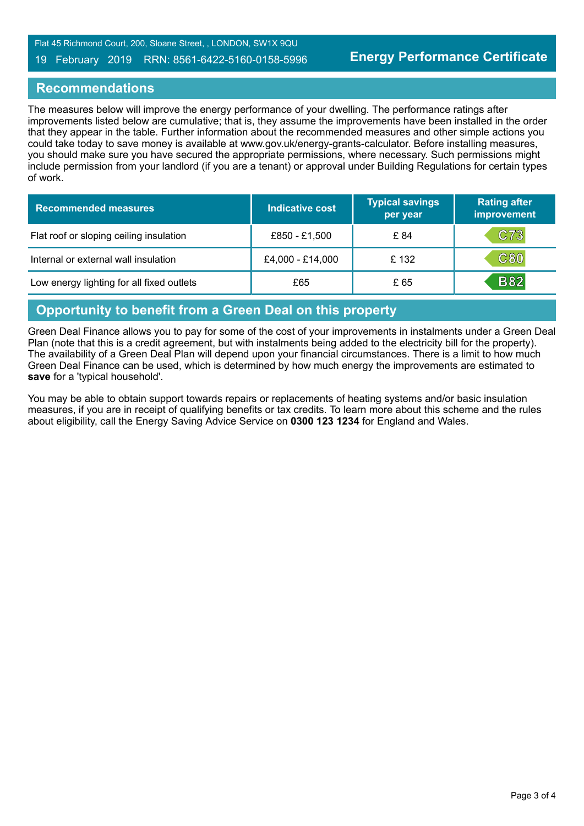#### 19 February 2019 RRN: 8561-6422-5160-0158-5996

#### **Recommendations**

The measures below will improve the energy performance of your dwelling. The performance ratings after improvements listed below are cumulative; that is, they assume the improvements have been installed in the order that they appear in the table. Further information about the recommended measures and other simple actions you could take today to save money is available at www.gov.uk/energy-grants-calculator. Before installing measures, you should make sure you have secured the appropriate permissions, where necessary. Such permissions might include permission from your landlord (if you are a tenant) or approval under Building Regulations for certain types of work.

| <b>Recommended measures</b>               | <b>Indicative cost</b> | <b>Typical savings</b><br>per year | <b>Rating after</b><br>improvement |
|-------------------------------------------|------------------------|------------------------------------|------------------------------------|
| Flat roof or sloping ceiling insulation   | £850 - £1,500          | £ 84                               | C73                                |
| Internal or external wall insulation      | £4,000 - £14,000       | £132                               | $\mathtt{C80}$                     |
| Low energy lighting for all fixed outlets | £65                    | £ 65                               | <b>B82</b>                         |

#### **Opportunity to benefit from a Green Deal on this property**

Green Deal Finance allows you to pay for some of the cost of your improvements in instalments under a Green Deal Plan (note that this is a credit agreement, but with instalments being added to the electricity bill for the property). The availability of a Green Deal Plan will depend upon your financial circumstances. There is a limit to how much Green Deal Finance can be used, which is determined by how much energy the improvements are estimated to **save** for a 'typical household'.

You may be able to obtain support towards repairs or replacements of heating systems and/or basic insulation measures, if you are in receipt of qualifying benefits or tax credits. To learn more about this scheme and the rules about eligibility, call the Energy Saving Advice Service on **0300 123 1234** for England and Wales.